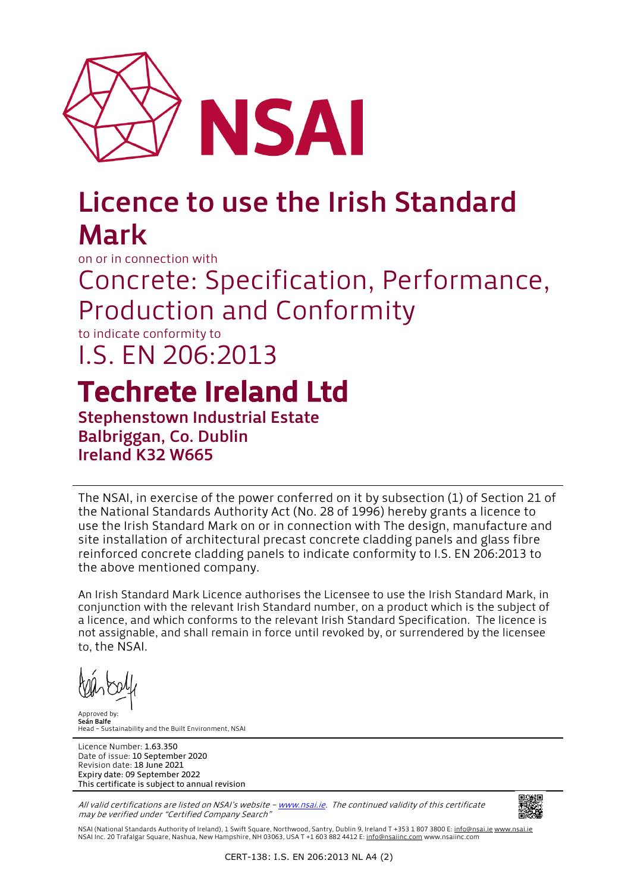

## Licence to use the Irish Standard Mark

on or in connection with

Concrete: Specification, Performance, Production and Conformity

to indicate conformity to

I.S. EN 206:2013

## Techrete Ireland Ltd

Stephenstown Industrial Estate Balbriggan, Co. Dublin Ireland K32 W665

The NSAI, in exercise of the power conferred on it by subsection (1) of Section 21 of the National Standards Authority Act (No. 28 of 1996) hereby grants a licence to use the Irish Standard Mark on or in connection with The design, manufacture and site installation of architectural precast concrete cladding panels and glass fibre reinforced concrete cladding panels to indicate conformity to I.S. EN 206:2013 to the above mentioned company.

An Irish Standard Mark Licence authorises the Licensee to use the Irish Standard Mark, in conjunction with the relevant Irish Standard number, on a product which is the subject of a licence, and which conforms to the relevant Irish Standard Specification. The licence is not assignable, and shall remain in force until revoked by, or surrendered by the licensee to, the NSAI.

Approved by: Seán Balfe Head – Sustainability and the Built Environment, NSAI

Licence Number: 1.63.350 Date of issue: 10 September 2020 Revision date: 18 June 2021 Expiry date: 09 September 2022 This certificate is subject to annual revision

All valid certifications are listed on NSAI's website - [www.nsai.ie.](http://www.nsai.ie/) The continued validity of this certificate may be verified under "Certified Company Search"



NSAI (National Standards Authority of Ireland), 1 Swift Square, Northwood, Santry, Dublin 9, Ireland T +353 1 807 3800 E: <u>info@nsai.ie [www.nsai.ie](http://www.nsai.ie/)</u><br>NSAI Inc. 20 Trafalgar Square, Nashua, New Hampshire, NH 03063, USA T +1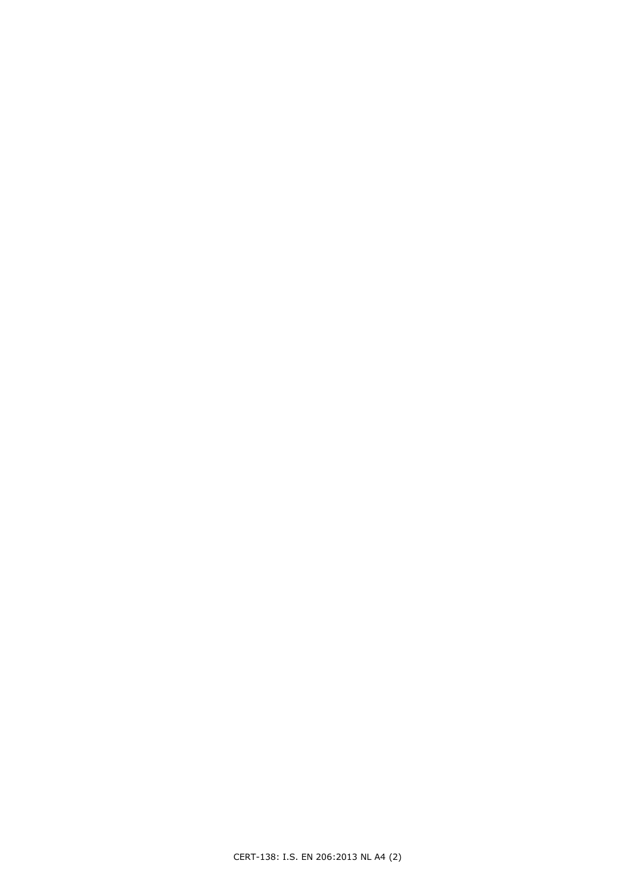CERT-138: I.S. EN 206:2013 NL A4 (2)